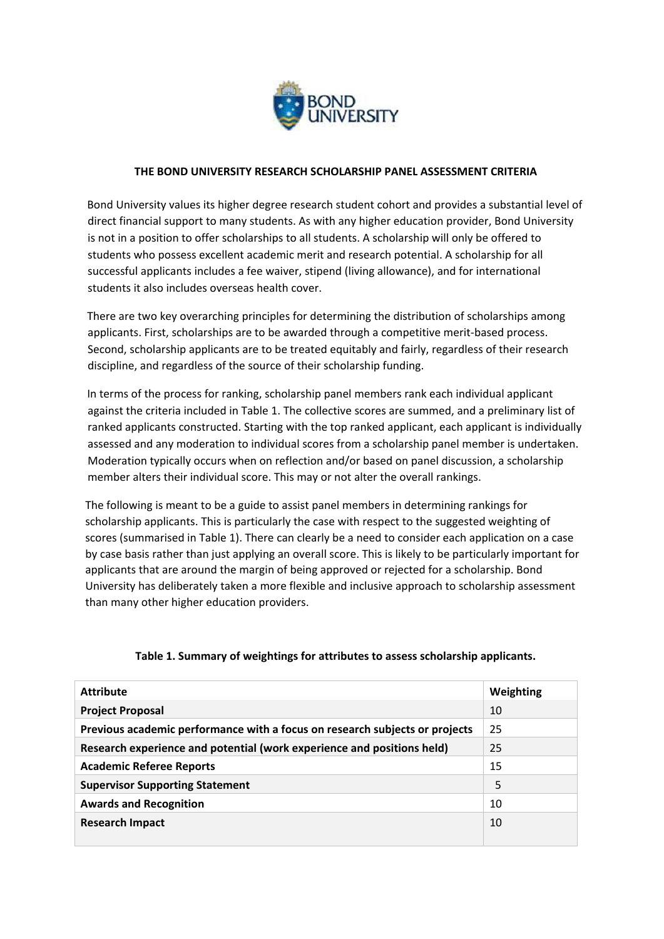

#### **THE BOND UNIVERSITY RESEARCH SCHOLARSHIP PANEL ASSESSMENT CRITERIA**

Bond University values its higher degree research student cohort and provides a substantial level of direct financial support to many students. As with any higher education provider, Bond University is not in a position to offer scholarships to all students. A scholarship will only be offered to students who possess excellent academic merit and research potential. A scholarship for all successful applicants includes a fee waiver, stipend (living allowance), and for international students it also includes overseas health cover.

There are two key overarching principles for determining the distribution of scholarships among applicants. First, scholarships are to be awarded through a competitive merit-based process. Second, scholarship applicants are to be treated equitably and fairly, regardless of their research discipline, and regardless of the source of their scholarship funding.

In terms of the process for ranking, scholarship panel members rank each individual applicant against the criteria included in Table 1. The collective scores are summed, and a preliminary list of ranked applicants constructed. Starting with the top ranked applicant, each applicant is individually assessed and any moderation to individual scores from a scholarship panel member is undertaken. Moderation typically occurs when on reflection and/or based on panel discussion, a scholarship member alters their individual score. This may or not alter the overall rankings.

The following is meant to be a guide to assist panel members in determining rankings for scholarship applicants. This is particularly the case with respect to the suggested weighting of scores (summarised in Table 1). There can clearly be a need to consider each application on a case by case basis rather than just applying an overall score. This is likely to be particularly important for applicants that are around the margin of being approved or rejected for a scholarship. Bond University has deliberately taken a more flexible and inclusive approach to scholarship assessment than many other higher education providers.

| <b>Attribute</b>                                                            | Weighting |
|-----------------------------------------------------------------------------|-----------|
| <b>Project Proposal</b>                                                     | 10        |
| Previous academic performance with a focus on research subjects or projects | 25        |
| Research experience and potential (work experience and positions held)      | 25        |
| <b>Academic Referee Reports</b>                                             | 15        |
| <b>Supervisor Supporting Statement</b>                                      | 5         |
| <b>Awards and Recognition</b>                                               | 10        |
| <b>Research Impact</b>                                                      | 10        |

#### **Table 1. Summary of weightings for attributes to assess scholarship applicants.**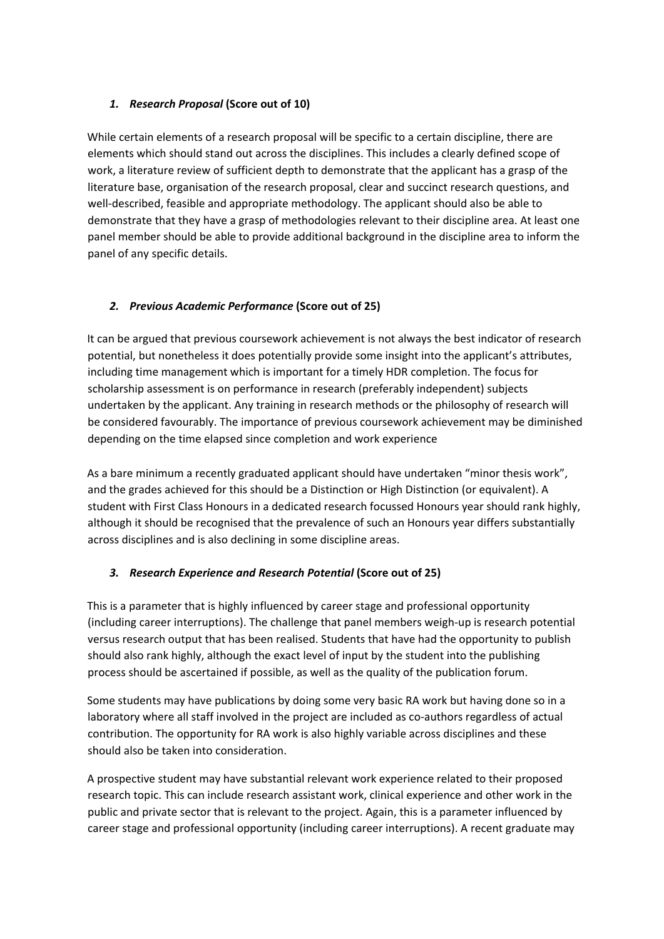### *1. Research Proposal* **(Score out of 10)**

While certain elements of a research proposal will be specific to a certain discipline, there are elements which should stand out across the disciplines. This includes a clearly defined scope of work, a literature review of sufficient depth to demonstrate that the applicant has a grasp of the literature base, organisation of the research proposal, clear and succinct research questions, and well-described, feasible and appropriate methodology. The applicant should also be able to demonstrate that they have a grasp of methodologies relevant to their discipline area. At least one panel member should be able to provide additional background in the discipline area to inform the panel of any specific details.

## *2. Previous Academic Performance* **(Score out of 25)**

It can be argued that previous coursework achievement is not always the best indicator of research potential, but nonetheless it does potentially provide some insight into the applicant's attributes, including time management which is important for a timely HDR completion. The focus for scholarship assessment is on performance in research (preferably independent) subjects undertaken by the applicant. Any training in research methods or the philosophy of research will be considered favourably. The importance of previous coursework achievement may be diminished depending on the time elapsed since completion and work experience

As a bare minimum a recently graduated applicant should have undertaken "minor thesis work", and the grades achieved for this should be a Distinction or High Distinction (or equivalent). A student with First Class Honours in a dedicated research focussed Honours year should rank highly, although it should be recognised that the prevalence of such an Honours year differs substantially across disciplines and is also declining in some discipline areas.

### *3. Research Experience and Research Potential* **(Score out of 25)**

This is a parameter that is highly influenced by career stage and professional opportunity (including career interruptions). The challenge that panel members weigh-up is research potential versus research output that has been realised. Students that have had the opportunity to publish should also rank highly, although the exact level of input by the student into the publishing process should be ascertained if possible, as well as the quality of the publication forum.

Some students may have publications by doing some very basic RA work but having done so in a laboratory where all staff involved in the project are included as co-authors regardless of actual contribution. The opportunity for RA work is also highly variable across disciplines and these should also be taken into consideration.

A prospective student may have substantial relevant work experience related to their proposed research topic. This can include research assistant work, clinical experience and other work in the public and private sector that is relevant to the project. Again, this is a parameter influenced by career stage and professional opportunity (including career interruptions). A recent graduate may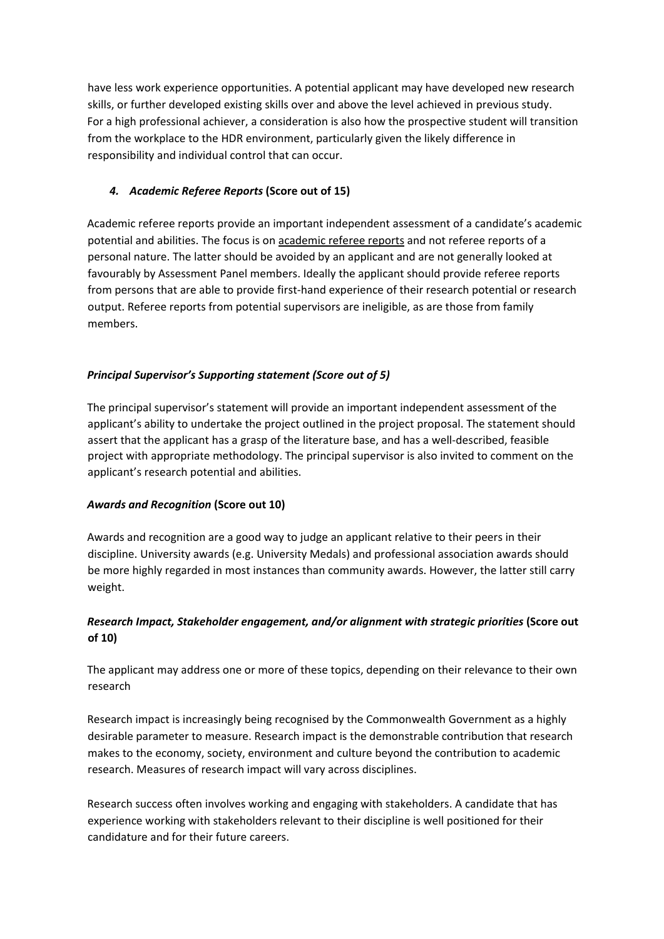have less work experience opportunities. A potential applicant may have developed new research skills, or further developed existing skills over and above the level achieved in previous study. For a high professional achiever, a consideration is also how the prospective student will transition from the workplace to the HDR environment, particularly given the likely difference in responsibility and individual control that can occur.

## *4. Academic Referee Reports* **(Score out of 15)**

Academic referee reports provide an important independent assessment of a candidate's academic potential and abilities. The focus is on academic referee reports and not referee reports of a personal nature. The latter should be avoided by an applicant and are not generally looked at favourably by Assessment Panel members. Ideally the applicant should provide referee reports from persons that are able to provide first-hand experience of their research potential or research output. Referee reports from potential supervisors are ineligible, as are those from family members.

# *Principal Supervisor's Supporting statement (Score out of 5)*

The principal supervisor's statement will provide an important independent assessment of the applicant's ability to undertake the project outlined in the project proposal. The statement should assert that the applicant has a grasp of the literature base, and has a well-described, feasible project with appropriate methodology. The principal supervisor is also invited to comment on the applicant's research potential and abilities.

## *Awards and Recognition* **(Score out 10)**

Awards and recognition are a good way to judge an applicant relative to their peers in their discipline. University awards (e.g. University Medals) and professional association awards should be more highly regarded in most instances than community awards. However, the latter still carry weight.

# *Research Impact, Stakeholder engagement, and/or alignment with strategic priorities* **(Score out of 10)**

The applicant may address one or more of these topics, depending on their relevance to their own research

Research impact is increasingly being recognised by the Commonwealth Government as a highly desirable parameter to measure. Research impact is the demonstrable contribution that research makes to the economy, society, environment and culture beyond the contribution to academic research. Measures of research impact will vary across disciplines.

Research success often involves working and engaging with stakeholders. A candidate that has experience working with stakeholders relevant to their discipline is well positioned for their candidature and for their future careers.